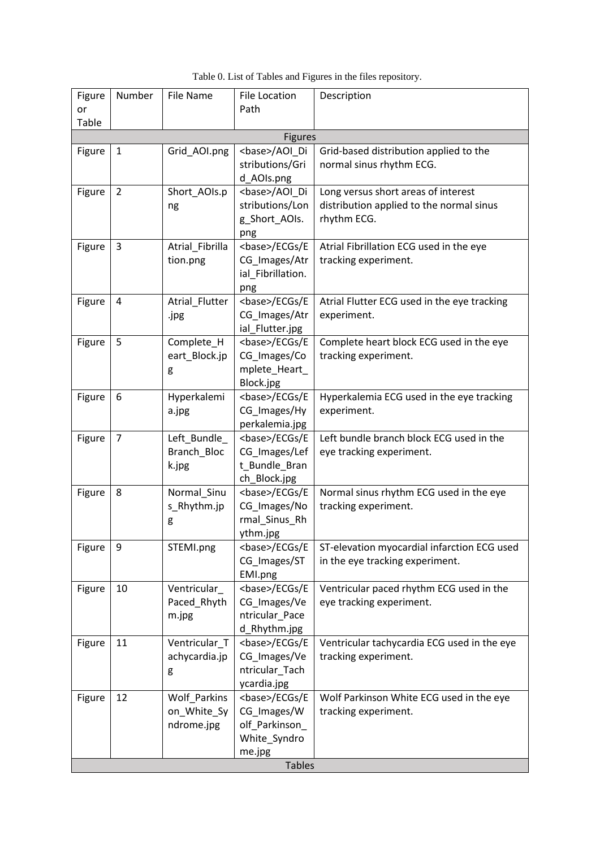| Figure         | Number         | File Name       | <b>File Location</b>            | Description                                 |  |  |  |
|----------------|----------------|-----------------|---------------------------------|---------------------------------------------|--|--|--|
| or             |                |                 | Path                            |                                             |  |  |  |
| Table          |                |                 |                                 |                                             |  |  |  |
| <b>Figures</b> |                |                 |                                 |                                             |  |  |  |
| Figure         | 1              | Grid_AOI.png    | <base/> /AOI_Di                 | Grid-based distribution applied to the      |  |  |  |
|                |                |                 | stributions/Gri                 | normal sinus rhythm ECG.                    |  |  |  |
|                |                |                 | d_AOIs.png                      |                                             |  |  |  |
| Figure         | $\overline{2}$ | Short_AOIs.p    | <base/> /AOI Di                 | Long versus short areas of interest         |  |  |  |
|                |                | ng              | stributions/Lon                 | distribution applied to the normal sinus    |  |  |  |
|                |                |                 | g_Short_AOIs.                   | rhythm ECG.                                 |  |  |  |
|                |                |                 | png                             |                                             |  |  |  |
| Figure         | 3              | Atrial_Fibrilla | <base/> /ECGs/E                 | Atrial Fibrillation ECG used in the eye     |  |  |  |
|                |                | tion.png        | CG_Images/Atr                   | tracking experiment.                        |  |  |  |
|                |                |                 | ial_Fibrillation.               |                                             |  |  |  |
|                |                |                 | png                             |                                             |  |  |  |
| Figure         | $\overline{4}$ | Atrial_Flutter  | <base/> /ECGs/E                 | Atrial Flutter ECG used in the eye tracking |  |  |  |
|                |                | .jpg            | CG Images/Atr                   | experiment.                                 |  |  |  |
|                |                |                 | ial_Flutter.jpg                 |                                             |  |  |  |
| Figure         | 5              | Complete_H      | <base/> /ECGs/E                 | Complete heart block ECG used in the eye    |  |  |  |
|                |                | eart_Block.jp   | CG_Images/Co                    | tracking experiment.                        |  |  |  |
|                |                | g               | mplete_Heart_                   |                                             |  |  |  |
|                | 6              |                 | Block.jpg                       |                                             |  |  |  |
| Figure         |                | Hyperkalemi     | <base/> /ECGs/E<br>CG_Images/Hy | Hyperkalemia ECG used in the eye tracking   |  |  |  |
|                |                | a.jpg           | perkalemia.jpg                  | experiment.                                 |  |  |  |
| Figure         | $\overline{7}$ | Left_Bundle_    | <base/> /ECGs/E                 | Left bundle branch block ECG used in the    |  |  |  |
|                |                | Branch_Bloc     | CG_Images/Lef                   | eye tracking experiment.                    |  |  |  |
|                |                | k.jpg           | t_Bundle_Bran                   |                                             |  |  |  |
|                |                |                 | ch_Block.jpg                    |                                             |  |  |  |
| Figure         | 8              | Normal_Sinu     | <base/> /ECGs/E                 | Normal sinus rhythm ECG used in the eye     |  |  |  |
|                |                | s_Rhythm.jp     | CG_Images/No                    | tracking experiment.                        |  |  |  |
|                |                | g               | rmal_Sinus_Rh                   |                                             |  |  |  |
|                |                |                 | ythm.jpg                        |                                             |  |  |  |
| Figure         | 9              | STEMI.png       | <base/> /ECGs/E                 | ST-elevation myocardial infarction ECG used |  |  |  |
|                |                |                 | CG Images/ST                    | in the eye tracking experiment.             |  |  |  |
|                |                |                 | EMI.png                         |                                             |  |  |  |
| Figure         | 10             | Ventricular_    | <base/> /ECGs/E                 | Ventricular paced rhythm ECG used in the    |  |  |  |
|                |                | Paced_Rhyth     | CG_Images/Ve                    | eye tracking experiment.                    |  |  |  |
|                |                | m.jpg           | ntricular_Pace                  |                                             |  |  |  |
|                |                |                 | d_Rhythm.jpg                    |                                             |  |  |  |
| Figure         | 11             | Ventricular_T   | <base/> /ECGs/E                 | Ventricular tachycardia ECG used in the eye |  |  |  |
|                |                | achycardia.jp   | CG Images/Ve                    | tracking experiment.                        |  |  |  |
|                |                | g               | ntricular_Tach                  |                                             |  |  |  |
|                |                |                 | ycardia.jpg                     |                                             |  |  |  |
| Figure         | 12             | Wolf_Parkins    | <base/> /ECGs/E                 | Wolf Parkinson White ECG used in the eye    |  |  |  |
|                |                | on_White_Sy     | CG_Images/W                     | tracking experiment.                        |  |  |  |
|                |                | ndrome.jpg      | olf_Parkinson_                  |                                             |  |  |  |
|                |                |                 | White_Syndro                    |                                             |  |  |  |
|                |                |                 | me.jpg                          |                                             |  |  |  |
| <b>Tables</b>  |                |                 |                                 |                                             |  |  |  |

|  |  |  |  | Table 0. List of Tables and Figures in the files repository. |  |
|--|--|--|--|--------------------------------------------------------------|--|